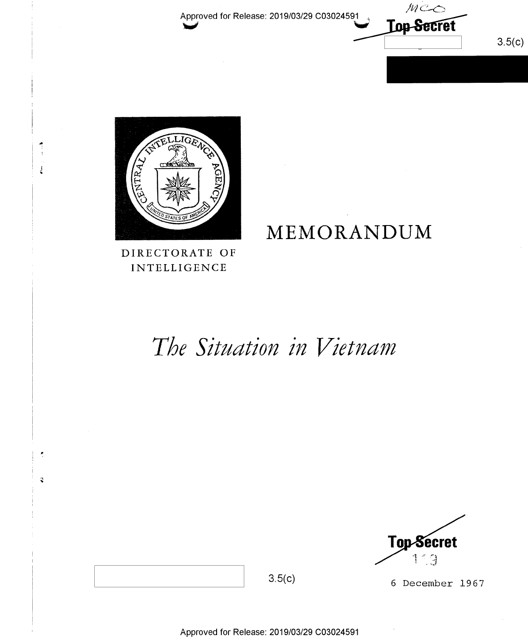

 $3.5(c)$ 



 $\frac{1}{2}$ 

 $\tilde{\mathbf{v}}$ 

DIRECTORATE OF **INTELLIGENCE** 

# The Situation in Vietnam

MEMORANDUM



6 December 1967

 $3.5(c)$ 

Approved for Release: 2019/03/29 C03024591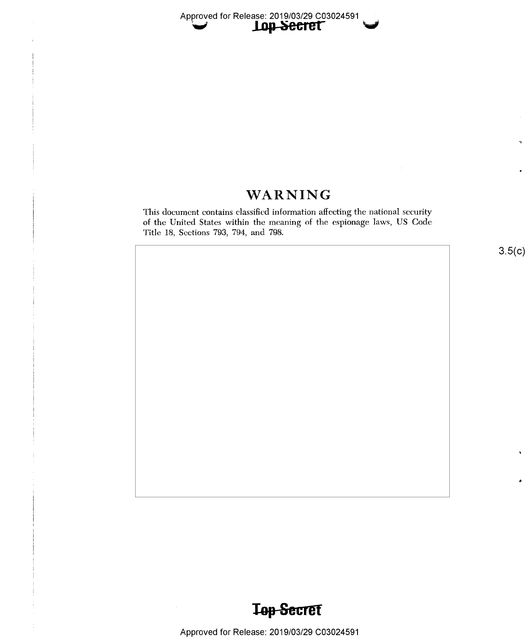# WARNING

This document contains classified information affecting the national security of the United States within the meaning of the espionage laws, US Code Title 18, Sections 793, 794, and 798.

 $3.5(c)$ 

'>

٠



Approved for Release: 2019/03/29 C03024591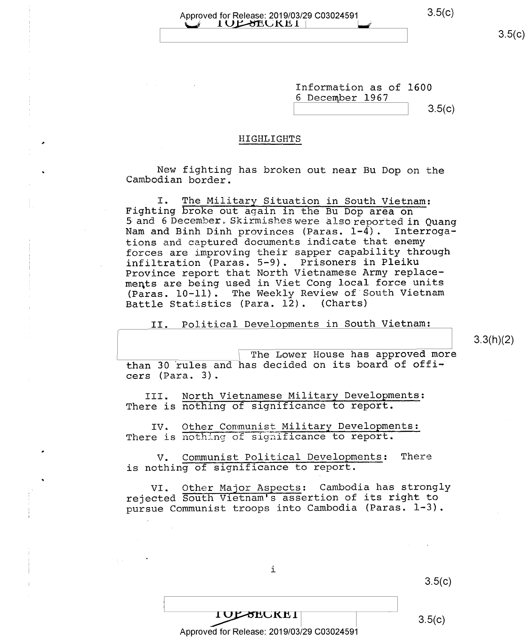#### Approved for Release: 2019/03/29 C03024591 3.5(C)  $U$   $10$  L  $\sigma$  E  $\sigma$  L  $\sigma$   $1$

 $3.5(c)$ 

Information as of 1600 <sup>6</sup>December 1967

 $3.5(c)$ 

#### HIGHLIGHTS

New fighting has broken out near Bu Dop on the Cambodian border.

I. The Military Situation in South Vietnam:<br>Fighting broke out again in the Bu Dop area on<br>5 and 6 December. Skirmishes were also reported in Quang<br>Nam and Binh Dinh provinces (Paras. 1-4). Interrogations and captured documents indicate that enemy forces are improving their sapper capability through infiltration (Paras. 5-9). Prisoners in Pleiku Province report that North Vietnamese Army replacements are being used in Viet Cong local force units (Paras. 10-11). The Weekly Review of South Vietnam Battle Statistics (Para. 12). (Charts)

II. Political Developments in South Vietnam:

3.3(h)(2)

The Lower House has approved more than 30 rules and has decided on its board of officers (Para. 3).

III. North Vietnamese Military Developments: There is nothing of significance to report.

IV. Other Communist Military Developments: There is nothing of significance to report.

V. Communist Political Developments: There is nothing of significance to report.

VI. Other Major Aspects: Cambodia has strongly rejected South Vietnam's assertion of its right to pursue Communist troops into Cambodia (Paras. 1-3).

 $3.5(c)$ 

Approved for Release: 2019/03/29 C03024591

i

 $1 \text{OF-8ECKE1}$  3.5(c)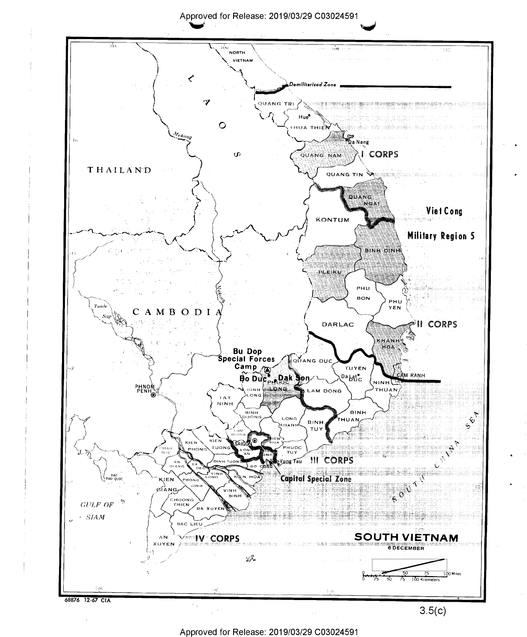Approved for Release: 2019/03/29 C03024591



Approved for Release: 2019/03/29 C03024591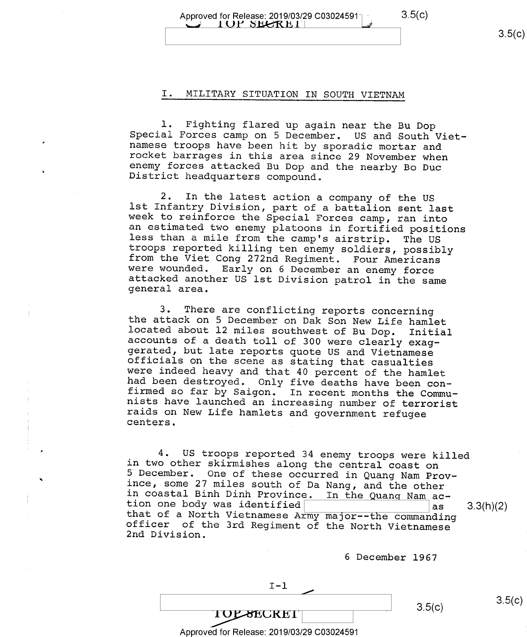$3.5(c)$ 

# Approved for Release: 2019/03/29 C03024591 3.5(C)<br>
I UP SECRET |

### I. MILITARY SITUATION IN SOUTH VIETNAM

1. Fighting flared up again near the Bu Dop<br>Special Forces camp on 5 December. US and South Viet-<br>namese troops have been hit by sporadic mortar and<br>rocket barrages in this area since 29 November when<br>enemy forces attacked

2. In the latest action a company of the US<br>1st Infantry Division, part of a battalion sent last<br>week to reinforce the Special Forces camp, ran into<br>an estimated two enemy platoons in fortified positions<br>1ess than a mile f

3. There are conflicting reports concerning<br>the attack on 5 December on Dak Son New Life hamlet<br>located about 12 miles southwest of Bu Dop. Initial<br>accounts of a death toll of 300 were clearly exag-<br>gerated, but late repor

4. US troops reported 34 enemy troops were killed<br>in two other skirmishes along the central coast on<br>5 December. One of these occurred in Quang Nam Prov-<br>ince, some 27 miles south of Da Nang, and the other<br>in coastal Binh that of a North Vietnamese Army major--the commanding officer of the 3rd Regiment of the North Vietnamese 2nd Division.

<sup>6</sup>December 1967

 $3.5(c)$   $3.5(c)$ 

Approved for Release: 2019/03/29 C03024591

TOLSECRET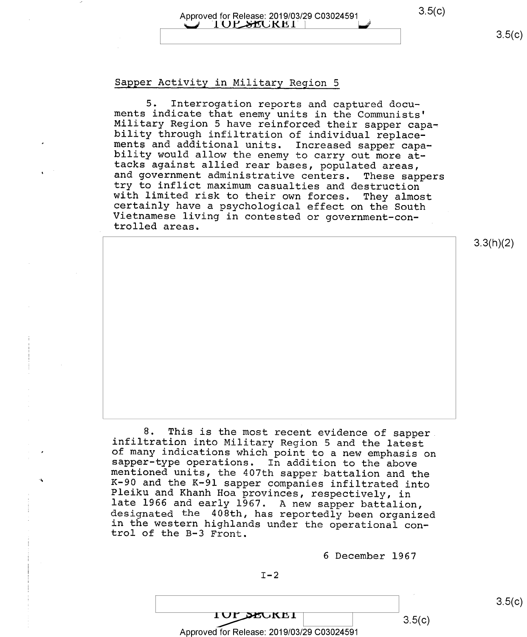## Approved for Release: 2019/03/29 C03024591 3.5(C) §\_i 'l()E,51flJt(H1'\ hf

#### Sapper Activity in Military Region <sup>5</sup>

5. Interrogation reports and captured docu-<br>ments indicate that enemy units in the Communists'<br>Military Region 5 have reinforced their sapper capa-<br>bility through infiltration of individual replace-<br>ments and additional un

8. This is the most recent evidence of sapper<br>infiltration into Military Region 5 and the latest<br>of many indications which point to a new emphasis on<br>sapper-type operations. In addition to the above<br>mentioned units, the 4

6 December 1967

 $IUP$  $ECKEI$  3.5(c) Approved for Release: 2019/03/29 C03024591  $3.5(c)$ 

3.3(h)(2)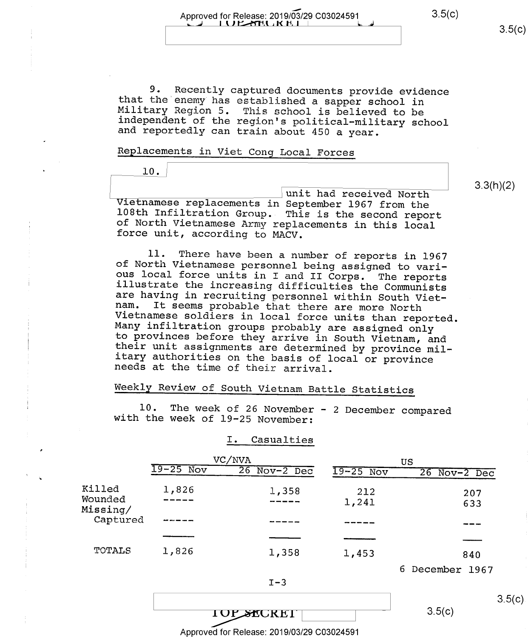Approved for Release: 2019/03/29 C03024591  $3.5(c)$   $3.5(c)$   $3.5(c)$ 

3.3(h)(2)

9. Recently captured documents provide evidence<br>that the enemy has established a sapper school in<br>Military Region 5. This school is believed to be<br>independent of the region's political-military school<br>and reportedly can tr

### Replacements in Viet Cong Local Forces

l0.

\unit had received North Vietnamese replacements in September 1967 from the 108th Infiltration Group. This is the second report of North Vietnamese Army replacements in this local force unit, according to MACV.

11. There have been a number of reports in 1967<br>of North Vietnamese personnel being assigned to vari-<br>ous local force units in I and II Corps. The reports<br>illustrate the increasing difficulties the Communists<br>are having in

## Weekly Review of South Vietnam Battle Statistics

l0. The week of 26 November - 2 December compared with the week of 19-25 November:

#### I. Casualties

|                     | VC/NVA      |                   | US          |                   |
|---------------------|-------------|-------------------|-------------|-------------------|
|                     | $19-25$ Nov | $26$ Nov- $2$ Dec | $19-25$ Nov | $26$ Nov- $2$ Dec |
| Killed              | 1,826       | 1,358             | 212         | 207               |
| Wounded<br>Missing/ |             | ----              | 1,241       | 633               |
| Captured            |             |                   |             |                   |
|                     |             |                   |             |                   |
| TOTALS              | 1,826       | 1,358             | 1,453       | 840               |

6 December 1967



 $3.5(c)$ 

 $3.5(c)$ 

Approved for Release: 2019/03/29 C03024591

**TOP SECRET**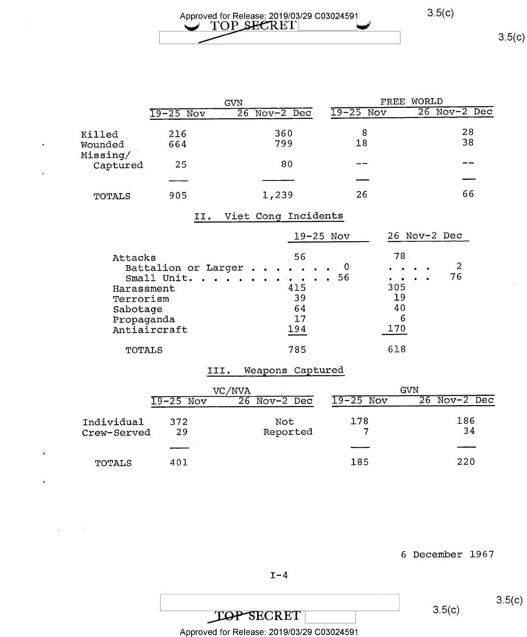$3.5(c)$ 

|                      | <b>GVN</b>  |              | WORLD<br>FREE |                |
|----------------------|-------------|--------------|---------------|----------------|
|                      | $19-25$ Nov | 26 Nov-2 Dec | $19-25$ Nov   | $26$ Nov-2 Dec |
| Killed               | 216         | 360          | 8             | 28             |
| Wounded              | 664         | 799          | 18            | 38             |
| Missing/<br>Captured | 25          | 80           | --            |                |
|                      |             |              |               |                |
| TOTALS               | 905         | 1,239        | 26            | 66             |

## II. Viet Cong Incidents

 $\overline{a}$ 

|                                                                                                                       | $19 - 25$ Nov                           | 26 Nov-2 Dec                                                                                                |
|-----------------------------------------------------------------------------------------------------------------------|-----------------------------------------|-------------------------------------------------------------------------------------------------------------|
| Attacks<br>Battalion or Larger<br>Small Unit. 56<br>Harassment<br>Terrorism<br>Sabotage<br>Propaganda<br>Antiaircraft | 56<br>0<br>415<br>39<br>64<br>17<br>194 | 78<br>2<br>$\sim$ $\sim$<br>76<br><b>Contract Contract Contract Contract</b><br>305<br>19<br>40<br>6<br>170 |
| TOTALS                                                                                                                | 785                                     | 618                                                                                                         |

## III. Weapons Captured

|                           | VC/NVA      |                   | GVN         |                   |
|---------------------------|-------------|-------------------|-------------|-------------------|
|                           | $19-25$ Nov | 26<br>$Nov-2$ Dec | $19-25$ Nov | $26$ Nov- $2$ Dec |
| Individual<br>Crew-Served | 372<br>29   | Not<br>Reported   | 178         | 186<br>34         |
|                           |             |                   |             |                   |
| TOTALS                    | 401         |                   | 185         | 220               |

<sup>6</sup>December 1967

 $I-4$ 

TOP SECRET 3.5(c)

Approved for Release: 2019/03/29 C03024591

 $3.5(c)$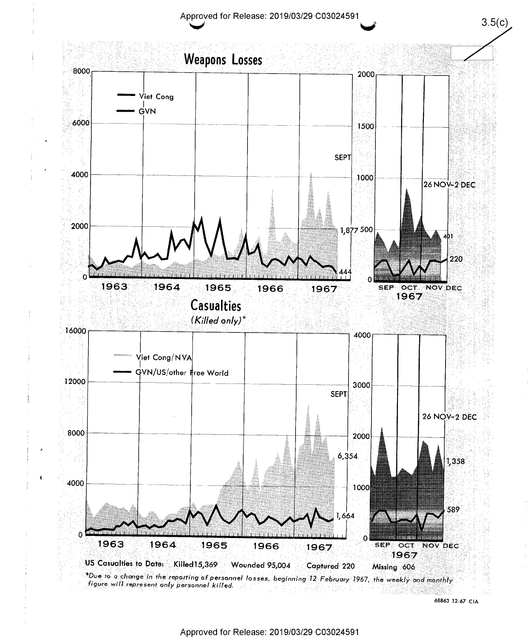

68863 12~67 CIA

 $3.5(c)$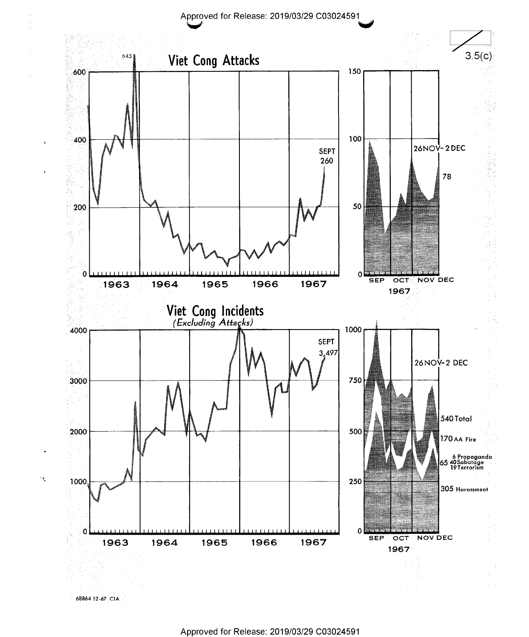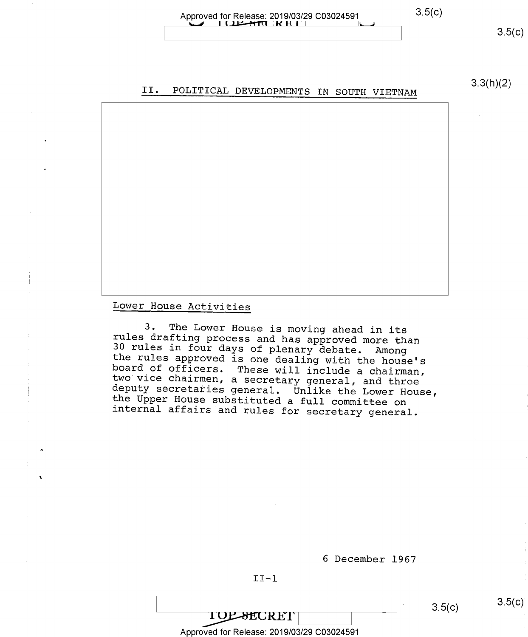#### Approved for Release: 2019/03/29 C03024591 3.5(c) i Q<del>izan</del>tik e e

# 3.3(h)(2) II. POLITICAL DEVELOPMENTS IN SOUTH VIETNAM

Lower House Activities

3. The Lower House is moving ahead in its<br>rules drafting process and has approved more than<br>30 rules in four days of plenary debate. Among<br>the rules approved is one dealing with the house's<br>board of officers. These will in

<sup>6</sup>December 1967

#### $II-1$

**TOP-SECRET** Approved for Release: 2019/03/29 C03024591

 $3.5(c)$   $3.5(c)$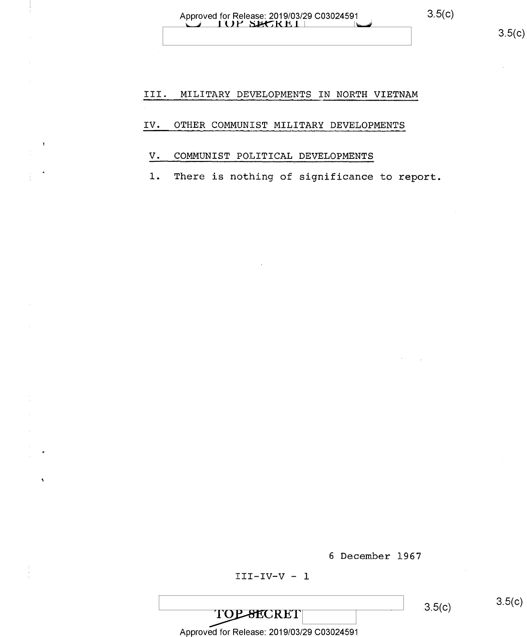#### III. MILITARY DEVELOPMENTS IN NORTH VIETNAM

#### OTHER COMMUNIST MILITARY DEVELOPMENTS IV.

#### COMMUNIST POLITICAL DEVELOPMENTS V.

 $1.$ There is nothing of significance to report.

6 December 1967

#### $III-IV-V - 1$

TOPSECRET

 $3.5(c)$ 

 $3.5(c)$ 

Approved for Release: 2019/03/29 C03024591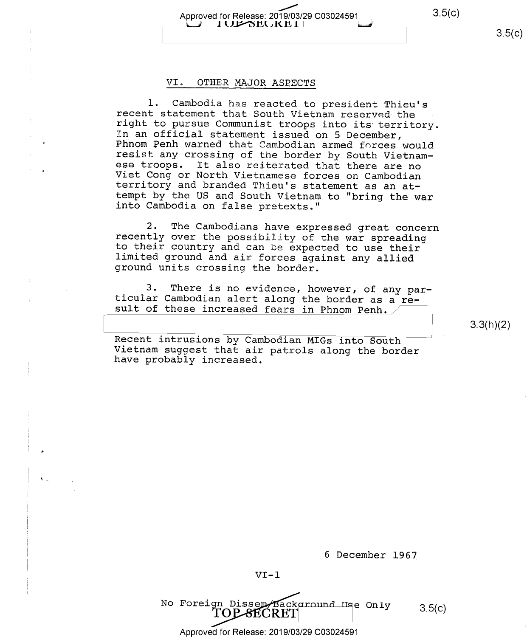$3.5(c)$ 

 $3.5(c)$ 

Approved for Release: 2019/03/29 C03024591 7" 1 OF SECRETT

#### VI. OTHER MAJOR ASPECTS

1. Cambodia has reacted to president Thieu's<br>recent statement that South Vietnam reserved the<br>right to pursue Communist troops into its territory.<br>In an official statement issued on 5 December,<br>Phnom Penh warned that Cambo

2. The Cambodians have expressed great concern<br>recently over the possibility of the war spreading<br>to their country and can be expected to use their<br>limited ground and air forces against any allied<br>ground units crossing the

3. There is no evidence, however, of any par-<br>ticular Cambodian alert along the border as a re-<br>sult of these increased fears in Phnom Penh.

3.3(h)(2)

Recent intrusions by Cambodian MIGs into South Vietnam suggest that air patrols along the border have probably increased.

<sup>6</sup>December 1967

Approved for Release: 2019/03/29 C03024591

No Foreign Dissem Back around Use Only 3.5(c)<br>
TOP SECRET